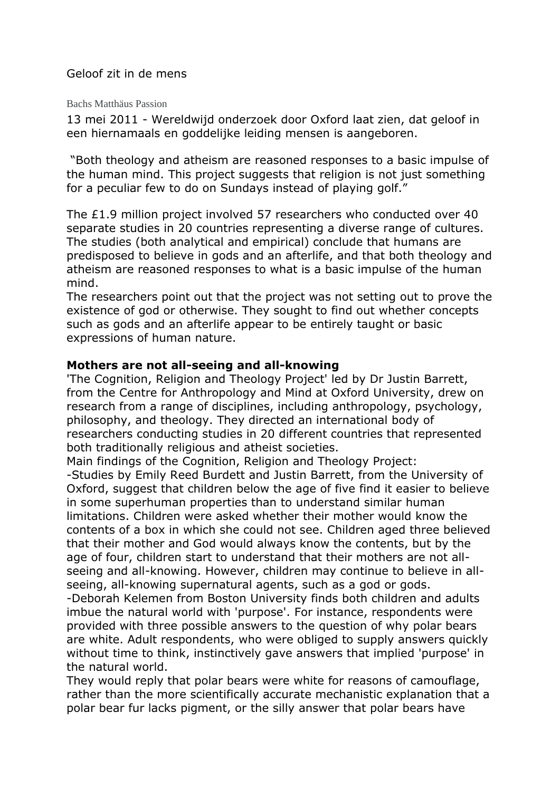## Geloof zit in de mens

Bachs Matthäus Passion

13 mei 2011 - Wereldwijd onderzoek door Oxford laat zien, dat geloof in een hiernamaals en goddelijke leiding mensen is aangeboren.

"Both theology and atheism are reasoned responses to a basic impulse of the human mind. This project suggests that religion is not just something for a peculiar few to do on Sundays instead of playing golf."

The £1.9 million project involved 57 researchers who conducted over 40 separate studies in 20 countries representing a diverse range of cultures. The studies (both analytical and empirical) conclude that humans are predisposed to believe in gods and an afterlife, and that both theology and atheism are reasoned responses to what is a basic impulse of the human mind.

The researchers point out that the project was not setting out to prove the existence of god or otherwise. They sought to find out whether concepts such as gods and an afterlife appear to be entirely taught or basic expressions of human nature.

## **Mothers are not all-seeing and all-knowing**

'The Cognition, Religion and Theology Project' led by Dr Justin Barrett, from the Centre for Anthropology and Mind at Oxford University, drew on research from a range of disciplines, including anthropology, psychology, philosophy, and theology. They directed an international body of researchers conducting studies in 20 different countries that represented both traditionally religious and atheist societies.

Main findings of the Cognition, Religion and Theology Project:

-Studies by Emily Reed Burdett and Justin Barrett, from the University of Oxford, suggest that children below the age of five find it easier to believe in some superhuman properties than to understand similar human limitations. Children were asked whether their mother would know the contents of a box in which she could not see. Children aged three believed that their mother and God would always know the contents, but by the age of four, children start to understand that their mothers are not allseeing and all-knowing. However, children may continue to believe in allseeing, all-knowing supernatural agents, such as a god or gods.

-Deborah Kelemen from Boston University finds both children and adults imbue the natural world with 'purpose'. For instance, respondents were provided with three possible answers to the question of why polar bears are white. Adult respondents, who were obliged to supply answers quickly without time to think, instinctively gave answers that implied 'purpose' in the natural world.

They would reply that polar bears were white for reasons of camouflage, rather than the more scientifically accurate mechanistic explanation that a polar bear fur lacks pigment, or the silly answer that polar bears have